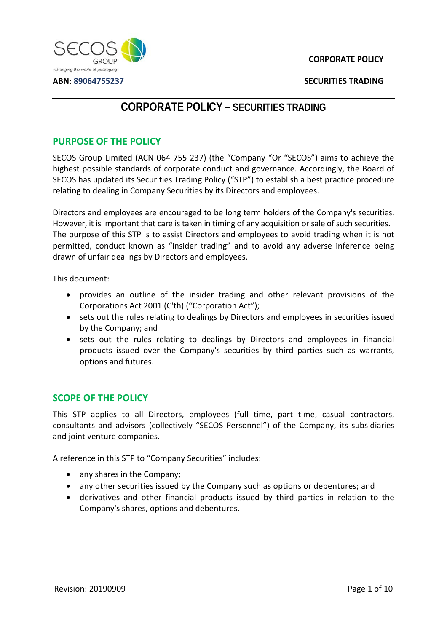

**ABN: 89064755237**

**SECURITIES TRADING**

# **CORPORATE POLICY – SECURITIES TRADING**

### **PURPOSE OF THE POLICY**

SECOS Group Limited (ACN 064 755 237) (the "Company "Or "SECOS") aims to achieve the highest possible standards of corporate conduct and governance. Accordingly, the Board of SECOS has updated its Securities Trading Policy ("STP") to establish a best practice procedure relating to dealing in Company Securities by its Directors and employees.

Directors and employees are encouraged to be long term holders of the Company's securities. However, it is important that care is taken in timing of any acquisition or sale of such securities. The purpose of this STP is to assist Directors and employees to avoid trading when it is not permitted, conduct known as "insider trading" and to avoid any adverse inference being drawn of unfair dealings by Directors and employees.

This document:

- provides an outline of the insider trading and other relevant provisions of the Corporations Act 2001 (C'th) ("Corporation Act");
- sets out the rules relating to dealings by Directors and employees in securities issued by the Company; and
- sets out the rules relating to dealings by Directors and employees in financial products issued over the Company's securities by third parties such as warrants, options and futures.

## **SCOPE OF THE POLICY**

This STP applies to all Directors, employees (full time, part time, casual contractors, consultants and advisors (collectively "SECOS Personnel") of the Company, its subsidiaries and joint venture companies.

A reference in this STP to "Company Securities" includes:

- any shares in the Company;
- any other securities issued by the Company such as options or debentures; and
- derivatives and other financial products issued by third parties in relation to the Company's shares, options and debentures.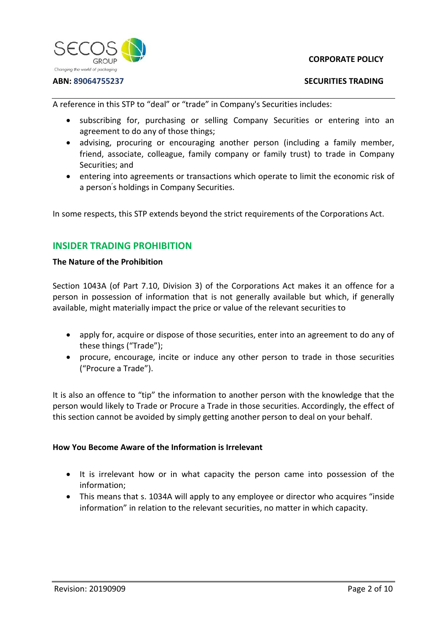

#### **ABN: 89064755237**

### **SECURITIES TRADING**

A reference in this STP to "deal" or "trade" in Company's Securities includes:

- subscribing for, purchasing or selling Company Securities or entering into an agreement to do any of those things;
- advising, procuring or encouraging another person (including a family member, friend, associate, colleague, family company or family trust) to trade in Company Securities; and
- entering into agreements or transactions which operate to limit the economic risk of a person' s holdings in Company Securities.

In some respects, this STP extends beyond the strict requirements of the Corporations Act.

## **INSIDER TRADING PROHIBITION**

### **The Nature of the Prohibition**

Section 1043A (of Part 7.10, Division 3) of the Corporations Act makes it an offence for a person in possession of information that is not generally available but which, if generally available, might materially impact the price or value of the relevant securities to

- apply for, acquire or dispose of those securities, enter into an agreement to do any of these things ("Trade");
- procure, encourage, incite or induce any other person to trade in those securities ("Procure a Trade").

It is also an offence to "tip" the information to another person with the knowledge that the person would likely to Trade or Procure a Trade in those securities. Accordingly, the effect of this section cannot be avoided by simply getting another person to deal on your behalf.

### **How You Become Aware of the Information is Irrelevant**

- It is irrelevant how or in what capacity the person came into possession of the information;
- This means that s. 1034A will apply to any employee or director who acquires "inside information" in relation to the relevant securities, no matter in which capacity.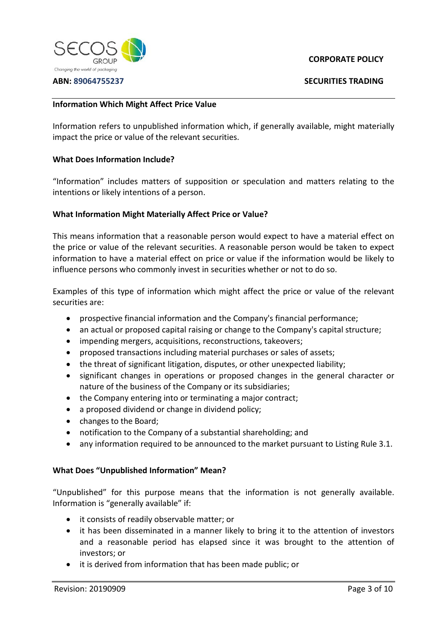

#### **ABN: 89064755237**

### **CORPORATE POLICY**

**SECURITIES TRADING**

### **Information Which Might Affect Price Value**

Information refers to unpublished information which, if generally available, might materially impact the price or value of the relevant securities.

#### **What Does Information Include?**

"Information" includes matters of supposition or speculation and matters relating to the intentions or likely intentions of a person.

### **What Information Might Materially Affect Price or Value?**

This means information that a reasonable person would expect to have a material effect on the price or value of the relevant securities. A reasonable person would be taken to expect information to have a material effect on price or value if the information would be likely to influence persons who commonly invest in securities whether or not to do so.

Examples of this type of information which might affect the price or value of the relevant securities are:

- prospective financial information and the Company's financial performance;
- an actual or proposed capital raising or change to the Company's capital structure;
- impending mergers, acquisitions, reconstructions, takeovers;
- proposed transactions including material purchases or sales of assets;
- the threat of significant litigation, disputes, or other unexpected liability;
- significant changes in operations or proposed changes in the general character or nature of the business of the Company or its subsidiaries;
- the Company entering into or terminating a major contract;
- a proposed dividend or change in dividend policy;
- changes to the Board;
- notification to the Company of a substantial shareholding; and
- any information required to be announced to the market pursuant to Listing Rule 3.1.

### **What Does "Unpublished Information" Mean?**

"Unpublished" for this purpose means that the information is not generally available. Information is "generally available" if:

- it consists of readily observable matter; or
- it has been disseminated in a manner likely to bring it to the attention of investors and a reasonable period has elapsed since it was brought to the attention of investors; or
- it is derived from information that has been made public; or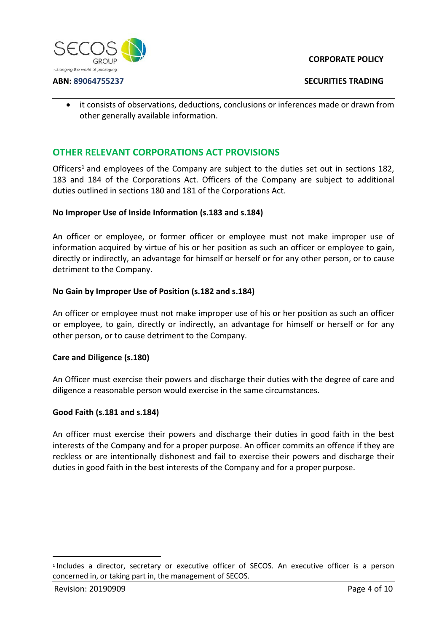

#### **SECURITIES TRADING**

• it consists of observations, deductions, conclusions or inferences made or drawn from other generally available information.

## **OTHER RELEVANT CORPORATIONS ACT PROVISIONS**

Officers<sup>[1](#page-3-0)</sup> and employees of the Company are subject to the duties set out in sections 182, 183 and 184 of the Corporations Act. Officers of the Company are subject to additional duties outlined in sections 180 and 181 of the Corporations Act.

### **No Improper Use of Inside Information (s.183 and s.184)**

An officer or employee, or former officer or employee must not make improper use of information acquired by virtue of his or her position as such an officer or employee to gain, directly or indirectly, an advantage for himself or herself or for any other person, or to cause detriment to the Company.

### **No Gain by Improper Use of Position (s.182 and s.184)**

An officer or employee must not make improper use of his or her position as such an officer or employee, to gain, directly or indirectly, an advantage for himself or herself or for any other person, or to cause detriment to the Company.

### **Care and Diligence (s.180)**

An Officer must exercise their powers and discharge their duties with the degree of care and diligence a reasonable person would exercise in the same circumstances.

### **Good Faith (s.181 and s.184)**

An officer must exercise their powers and discharge their duties in good faith in the best interests of the Company and for a proper purpose. An officer commits an offence if they are reckless or are intentionally dishonest and fail to exercise their powers and discharge their duties in good faith in the best interests of the Company and for a proper purpose.

<span id="page-3-0"></span><sup>1</sup> Includes a director, secretary or executive officer of SECOS. An executive officer is a person concerned in, or taking part in, the management of SECOS.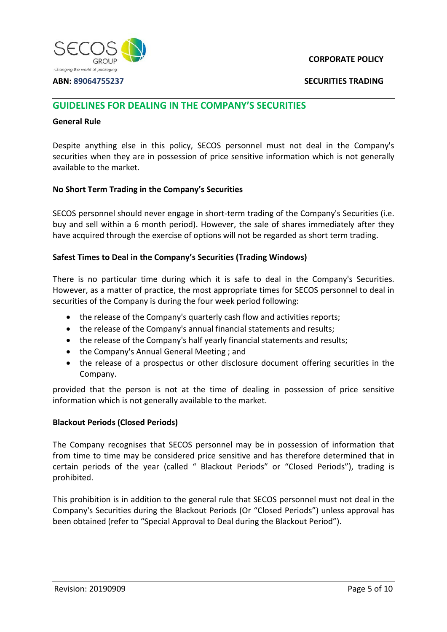

#### **ABN: 89064755237**

**SECURITIES TRADING**

### **GUIDELINES FOR DEALING IN THE COMPANY'S SECURITIES**

#### **General Rule**

Despite anything else in this policy, SECOS personnel must not deal in the Company's securities when they are in possession of price sensitive information which is not generally available to the market.

### **No Short Term Trading in the Company's Securities**

SECOS personnel should never engage in short-term trading of the Company's Securities (i.e. buy and sell within a 6 month period). However, the sale of shares immediately after they have acquired through the exercise of options will not be regarded as short term trading.

### **Safest Times to Deal in the Company's Securities (Trading Windows)**

There is no particular time during which it is safe to deal in the Company's Securities. However, as a matter of practice, the most appropriate times for SECOS personnel to deal in securities of the Company is during the four week period following:

- the release of the Company's quarterly cash flow and activities reports;
- the release of the Company's annual financial statements and results;
- the release of the Company's half yearly financial statements and results;
- the Company's Annual General Meeting ; and
- the release of a prospectus or other disclosure document offering securities in the Company.

provided that the person is not at the time of dealing in possession of price sensitive information which is not generally available to the market.

### **Blackout Periods (Closed Periods)**

The Company recognises that SECOS personnel may be in possession of information that from time to time may be considered price sensitive and has therefore determined that in certain periods of the year (called " Blackout Periods" or "Closed Periods"), trading is prohibited.

This prohibition is in addition to the general rule that SECOS personnel must not deal in the Company's Securities during the Blackout Periods (Or "Closed Periods") unless approval has been obtained (refer to "Special Approval to Deal during the Blackout Period").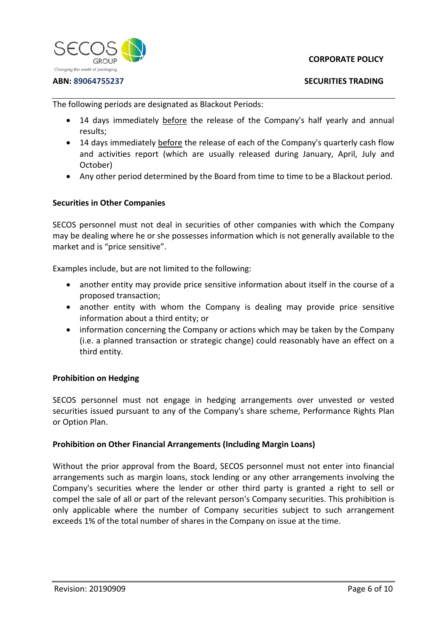

#### **ABN: 89064755237**

The following periods are designated as Blackout Periods:

- 14 days immediately before the release of the Company's half yearly and annual results;
- 14 days immediately before the release of each of the Company's quarterly cash flow and activities report (which are usually released during January, April, July and October)
- Any other period determined by the Board from time to time to be a Blackout period.

### **Securities in Other Companies**

SECOS personnel must not deal in securities of other companies with which the Company may be dealing where he or she possesses information which is not generally available to the market and is "price sensitive".

Examples include, but are not limited to the following:

- another entity may provide price sensitive information about itself in the course of a proposed transaction;
- another entity with whom the Company is dealing may provide price sensitive information about a third entity; or
- information concerning the Company or actions which may be taken by the Company (i.e. a planned transaction or strategic change) could reasonably have an effect on a third entity.

### **Prohibition on Hedging**

SECOS personnel must not engage in hedging arrangements over unvested or vested securities issued pursuant to any of the Company's share scheme, Performance Rights Plan or Option Plan.

### **Prohibition on Other Financial Arrangements (Including Margin Loans)**

Without the prior approval from the Board, SECOS personnel must not enter into financial arrangements such as margin loans, stock lending or any other arrangements involving the Company's securities where the lender or other third party is granted a right to sell or compel the sale of all or part of the relevant person's Company securities. This prohibition is only applicable where the number of Company securities subject to such arrangement exceeds 1% of the total number of shares in the Company on issue at the time.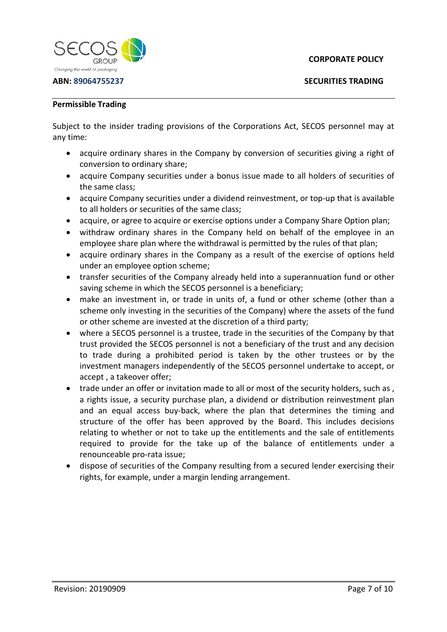

**ABN: 89064755237**

**SECURITIES TRADING**

#### **Permissible Trading**

Subject to the insider trading provisions of the Corporations Act, SECOS personnel may at any time:

- acquire ordinary shares in the Company by conversion of securities giving a right of conversion to ordinary share;
- acquire Company securities under a bonus issue made to all holders of securities of the same class;
- acquire Company securities under a dividend reinvestment, or top-up that is available to all holders or securities of the same class;
- acquire, or agree to acquire or exercise options under a Company Share Option plan;
- withdraw ordinary shares in the Company held on behalf of the employee in an employee share plan where the withdrawal is permitted by the rules of that plan;
- acquire ordinary shares in the Company as a result of the exercise of options held under an employee option scheme;
- transfer securities of the Company already held into a superannuation fund or other saving scheme in which the SECOS personnel is a beneficiary;
- make an investment in, or trade in units of, a fund or other scheme (other than a scheme only investing in the securities of the Company) where the assets of the fund or other scheme are invested at the discretion of a third party;
- where a SECOS personnel is a trustee, trade in the securities of the Company by that trust provided the SECOS personnel is not a beneficiary of the trust and any decision to trade during a prohibited period is taken by the other trustees or by the investment managers independently of the SECOS personnel undertake to accept, or accept , a takeover offer;
- trade under an offer or invitation made to all or most of the security holders, such as , a rights issue, a security purchase plan, a dividend or distribution reinvestment plan and an equal access buy-back, where the plan that determines the timing and structure of the offer has been approved by the Board. This includes decisions relating to whether or not to take up the entitlements and the sale of entitlements required to provide for the take up of the balance of entitlements under a renounceable pro-rata issue;
- dispose of securities of the Company resulting from a secured lender exercising their rights, for example, under a margin lending arrangement.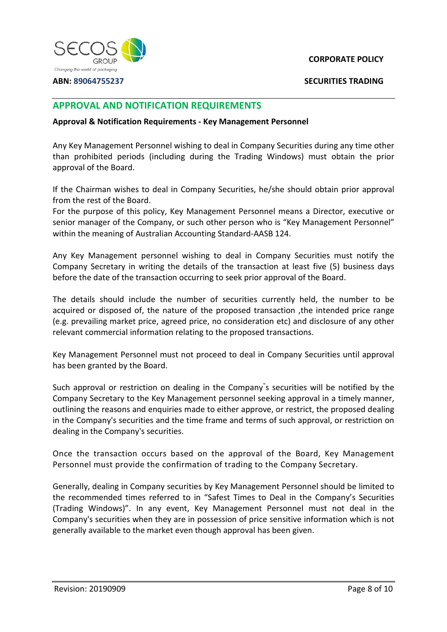

**ABN: 89064755237**

**SECURITIES TRADING**

## **APPROVAL AND NOTIFICATION REQUIREMENTS**

#### **Approval & Notification Requirements - Key Management Personnel**

Any Key Management Personnel wishing to deal in Company Securities during any time other than prohibited periods (including during the Trading Windows) must obtain the prior approval of the Board.

If the Chairman wishes to deal in Company Securities, he/she should obtain prior approval from the rest of the Board.

For the purpose of this policy, Key Management Personnel means a Director, executive or senior manager of the Company, or such other person who is "Key Management Personnel" within the meaning of Australian Accounting Standard-AASB 124.

Any Key Management personnel wishing to deal in Company Securities must notify the Company Secretary in writing the details of the transaction at least five (5) business days before the date of the transaction occurring to seek prior approval of the Board.

The details should include the number of securities currently held, the number to be acquired or disposed of, the nature of the proposed transaction ,the intended price range (e.g. prevailing market price, agreed price, no consideration etc) and disclosure of any other relevant commercial information relating to the proposed transactions.

Key Management Personnel must not proceed to deal in Company Securities until approval has been granted by the Board.

Such approval or restriction on dealing in the Company" s securities will be notified by the Company Secretary to the Key Management personnel seeking approval in a timely manner, outlining the reasons and enquiries made to either approve, or restrict, the proposed dealing in the Company's securities and the time frame and terms of such approval, or restriction on dealing in the Company's securities.

Once the transaction occurs based on the approval of the Board, Key Management Personnel must provide the confirmation of trading to the Company Secretary.

Generally, dealing in Company securities by Key Management Personnel should be limited to the recommended times referred to in "Safest Times to Deal in the Company's Securities (Trading Windows)". In any event, Key Management Personnel must not deal in the Company's securities when they are in possession of price sensitive information which is not generally available to the market even though approval has been given.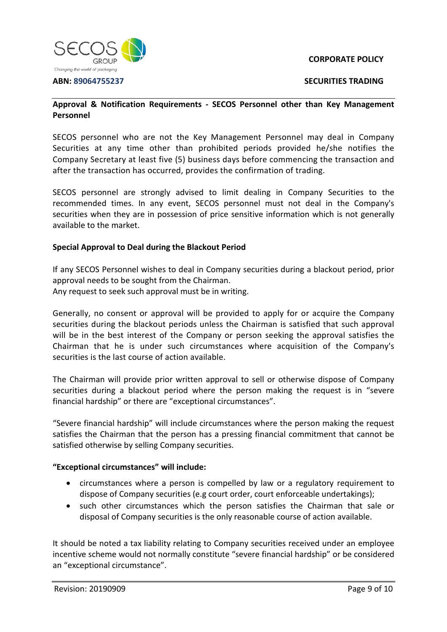

**SECURITIES TRADING**

### **Approval & Notification Requirements - SECOS Personnel other than Key Management Personnel**

SECOS personnel who are not the Key Management Personnel may deal in Company Securities at any time other than prohibited periods provided he/she notifies the Company Secretary at least five (5) business days before commencing the transaction and after the transaction has occurred, provides the confirmation of trading.

SECOS personnel are strongly advised to limit dealing in Company Securities to the recommended times. In any event, SECOS personnel must not deal in the Company's securities when they are in possession of price sensitive information which is not generally available to the market.

### **Special Approval to Deal during the Blackout Period**

If any SECOS Personnel wishes to deal in Company securities during a blackout period, prior approval needs to be sought from the Chairman. Any request to seek such approval must be in writing.

Generally, no consent or approval will be provided to apply for or acquire the Company securities during the blackout periods unless the Chairman is satisfied that such approval will be in the best interest of the Company or person seeking the approval satisfies the Chairman that he is under such circumstances where acquisition of the Company's securities is the last course of action available.

The Chairman will provide prior written approval to sell or otherwise dispose of Company securities during a blackout period where the person making the request is in "severe financial hardship" or there are "exceptional circumstances".

"Severe financial hardship" will include circumstances where the person making the request satisfies the Chairman that the person has a pressing financial commitment that cannot be satisfied otherwise by selling Company securities.

### **"Exceptional circumstances" will include:**

- circumstances where a person is compelled by law or a regulatory requirement to dispose of Company securities (e.g court order, court enforceable undertakings);
- such other circumstances which the person satisfies the Chairman that sale or disposal of Company securities is the only reasonable course of action available.

It should be noted a tax liability relating to Company securities received under an employee incentive scheme would not normally constitute "severe financial hardship" or be considered an "exceptional circumstance".